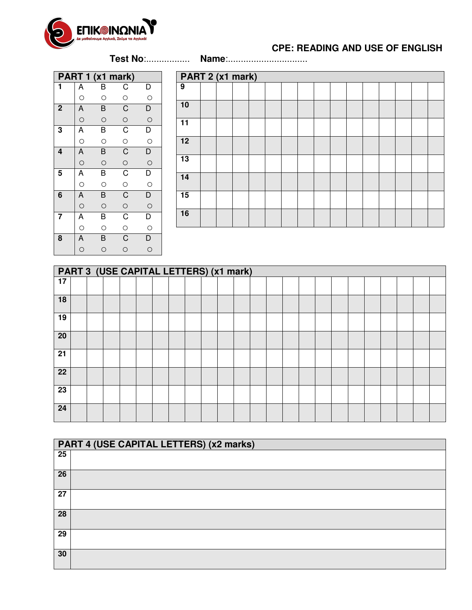

## **CPE: READING AND USE OF ENGLISH**

(1h 30 min) - **Test No**:................. **Name**:...............................

|                         |                                                                                          | PART 1 (x1 mark) |                                                             |                         |
|-------------------------|------------------------------------------------------------------------------------------|------------------|-------------------------------------------------------------|-------------------------|
| 1                       | Α                                                                                        | В                | C                                                           | $\mathsf{D}$            |
|                         | $\circ$                                                                                  | $\circ$          | $\circ$                                                     | $\circ$                 |
| $\overline{\mathbf{c}}$ |                                                                                          | $\overline{B}$   | $\overline{C}$                                              | $\overline{D}$          |
|                         | $\overline{A}$                                                                           | $\circ$          | $\overline{O}$                                              | $\circ$                 |
| 3                       | A                                                                                        | $\overline{B}$   | $\overline{c}$                                              | $\overline{\mathsf{D}}$ |
|                         |                                                                                          | $\circ$          | $\circ$                                                     | $\circ$                 |
| 4                       | A                                                                                        | $\overline{B}$   |                                                             | $\overline{D}$          |
|                         |                                                                                          | $\circ$          | $\frac{C}{C}$                                               | $\circ$                 |
| 5                       | Ā                                                                                        | $\overline{B}$   | $\overline{C}$                                              | $\overline{\mathsf{D}}$ |
|                         | $\circ$                                                                                  | $\circ$          | $\frac{1}{2}$                                               | $\circ$                 |
| 6                       |                                                                                          | $\overline{B}$   |                                                             | $\overline{D}$          |
|                         |                                                                                          | $\circ$          |                                                             |                         |
| 7                       |                                                                                          | $\overline{B}$   |                                                             | $\overline{\mathsf{D}}$ |
|                         |                                                                                          | $\circ$          |                                                             | $\circ$                 |
| $\overline{\mathbf{8}}$ | $\begin{array}{c c}\nA & \circ \\ \hline\nA & \circ \\ \hline\nA & \circ \\ \end{array}$ | $\overline{B}$   | $\overline{C}$ $\overline{C}$ $\overline{C}$ $\overline{C}$ | $\overline{D}$          |
|                         |                                                                                          | $\circ$          |                                                             | $\circ$                 |

| PART 2 (x1 mark) |  |  |  |  |  |  |  |  |  |  |  |  |
|------------------|--|--|--|--|--|--|--|--|--|--|--|--|
| $\overline{9}$   |  |  |  |  |  |  |  |  |  |  |  |  |
| 10               |  |  |  |  |  |  |  |  |  |  |  |  |
| $\overline{11}$  |  |  |  |  |  |  |  |  |  |  |  |  |
| 12               |  |  |  |  |  |  |  |  |  |  |  |  |
| $\overline{13}$  |  |  |  |  |  |  |  |  |  |  |  |  |
| $\overline{14}$  |  |  |  |  |  |  |  |  |  |  |  |  |
| 15               |  |  |  |  |  |  |  |  |  |  |  |  |
| 16               |  |  |  |  |  |  |  |  |  |  |  |  |

|                 | PART 3 (USE CAPITAL LETTERS) (x1 mark) |  |  |  |  |  |  |  |  |  |  |  |  |  |  |  |  |
|-----------------|----------------------------------------|--|--|--|--|--|--|--|--|--|--|--|--|--|--|--|--|
| $\overline{17}$ |                                        |  |  |  |  |  |  |  |  |  |  |  |  |  |  |  |  |
| 18              |                                        |  |  |  |  |  |  |  |  |  |  |  |  |  |  |  |  |
| 19              |                                        |  |  |  |  |  |  |  |  |  |  |  |  |  |  |  |  |
| 20              |                                        |  |  |  |  |  |  |  |  |  |  |  |  |  |  |  |  |
| 21              |                                        |  |  |  |  |  |  |  |  |  |  |  |  |  |  |  |  |
| 22              |                                        |  |  |  |  |  |  |  |  |  |  |  |  |  |  |  |  |
| 23              |                                        |  |  |  |  |  |  |  |  |  |  |  |  |  |  |  |  |
| 24              |                                        |  |  |  |  |  |  |  |  |  |  |  |  |  |  |  |  |

|                 | PART 4 (USE CAPITAL LETTERS) (x2 marks) |
|-----------------|-----------------------------------------|
| $\overline{25}$ |                                         |
| 26              |                                         |
| 27              |                                         |
| 28              |                                         |
| 29              |                                         |
| 30              |                                         |